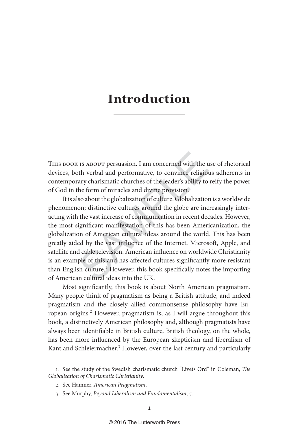This book is about persuasion. I am concerned with the use of rhetorical devices, both verbal and performative, to convince religious adherents in contemporary charismatic churches of the leader's ability to reify the power of God in the form of miracles and divine provision.

Is ABOUT persuasion. I am concerned with the u<br>th verbal and performative, to convince religiou<br>ary charismatic churches of the leader's ability to<br>he form of miracles and divine provision.<br>So about the globalization of cu It is also about the globalization of culture. Globalization is a worldwide phenomenon; distinctive cultures around the globe are increasingly interacting with the vast increase of communication in recent decades. However, the most significant manifestation of this has been Americanization, the globalization of American cultural ideas around the world. This has been greatly aided by the vast influence of the Internet, Microsoft, Apple, and satellite and cable television. American influence on worldwide Christianity is an example of this and has affected cultures significantly more resistant than English culture.<sup>1</sup> However, this book specifically notes the importing of American cultural ideas into the UK.

Most significantly, this book is about North American pragmatism. Many people think of pragmatism as being a British attitude, and indeed pragmatism and the closely allied commonsense philosophy have European origins.<sup>2</sup> However, pragmatism is, as I will argue throughout this book, a distinctively American philosophy and, although pragmatists have always been identifiable in British culture, British theology, on the whole, has been more influenced by the European skepticism and liberalism of Kant and Schleiermacher.<sup>3</sup> However, over the last century and particularly

1. See the study of the Swedish charismatic church "Livets Ord" in Coleman, *The Globalisation of Charismatic Christianity* .

- 2. See Hamner, *American Pragmatism* .
- 3. See Murphy, *Beyond Liberalism and Fundamentalism*, 5.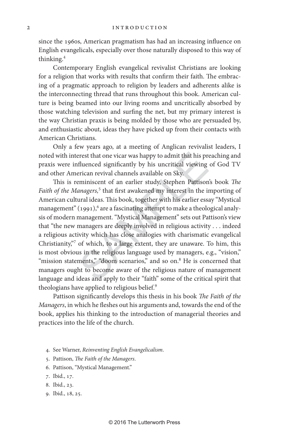since the 1960s, American pragmatism has had an increasing influence on English evangelicals, especially over those naturally disposed to this way of thinking. 4

Contemporary English evangelical revivalist Christians are looking for a religion that works with results that confirm their faith. The embracing of a pragmatic approach to religion by leaders and adherents alike is the interconnecting thread that runs throughout this book. American culture is being beamed into our living rooms and uncritically absorbed by those watching television and surfing the net, but my primary interest is the way Christian praxis is being molded by those who are persuaded by, and enthusiastic about, ideas they have picked up from their contacts with American Christians.

Only a few years ago, at a meeting of Anglican revivalist leaders, I noted with interest that one vicar was happy to admit that his preaching and praxis were influenced significantly by his uncritical viewing of God TV and other American revival channels available on Sky.

rest that one vicar was happy to admit that his proprieted significantly by his uncritical viewing<br>rican revival channels available on Sky.<br>eminiscent of an earlier study, Stephen Pattison<br>*anagers*,<sup>5</sup> that first awakened This is reminiscent of an earlier study, Stephen Pattison's book *The*  Faith of the Managers,<sup>5</sup> that first awakened my interest in the importing of American cultural ideas. This book, together with his earlier essay "Mystical management" (1991),<sup>6</sup> are a fascinating attempt to make a theological analysis of modern management. "Mystical Management" sets out Pattison's view that "the new managers are deeply involved in religious activity . . . indeed a religious activity which has close analogies with charismatic evangelical Christianity,"<sup>7</sup> of which, to a large extent, they are unaware. To him, this is most obvious in the religious language used by managers, e.g., "vision," "mission statements," "doom scenarios," and so on.<sup>8</sup> He is concerned that managers ought to become aware of the religious nature of management language and ideas and apply to their "faith" some of the critical spirit that theologians have applied to religious belief. 9

Pattison significantly develops this thesis in his book *The Faith of the Managers*, in which he fleshes out his arguments and, towards the end of the book, applies his thinking to the introduction of managerial theories and practices into the life of the church.

- 4. See Warner, *Reinventing English Evangelicalism* .
- 5. Pattison, *The Faith of the Managers* .
- 6. Pattison, "Mystical Management."
- 7. Ibid., 17.
- 8. Ibid., 23.
- 9. Ibid., 18, 25.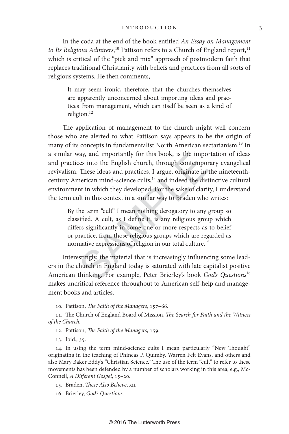In the coda at the end of the book entitled *An Essay on Management to Its Religious Admirers*,<sup>10</sup> Pattison refers to a Church of England report,<sup>11</sup> which is critical of the "pick and mix" approach of postmodern faith that replaces traditional Christianity with beliefs and practices from all sorts of religious systems. He then comments,

It may seem ironic, therefore, that the churches themselves are apparently unconcerned about importing ideas and practices from management, which can itself be seen as a kind of religion.<sup>12</sup>

ray, and importantly for this book, is the importes into the English church, through contempor<br>These ideas and practices, I argue, originate in the neircan mind-science cults,  $^{14}$  and indeed the dist<br>nt in which they d The application of management to the church might well concern those who are alerted to what Pattison says appears to be the origin of many of its concepts in fundamentalist North American sectarianism.13 In a similar way, and importantly for this book, is the importation of ideas and practices into the English church, through contemporary evangelical revivalism. These ideas and practices, I argue, originate in the nineteenthcentury American mind-science cults,<sup>14</sup> and indeed the distinctive cultural environment in which they developed. For the sake of clarity, I understand the term cult in this context in a similar way to Braden who writes:

By the term "cult" I mean nothing derogatory to any group so classified. A cult, as I define it, is any religious group which differs significantly in some one or more respects as to belief or practice, from those religious groups which are regarded as normative expressions of religion in our total culture.<sup>15</sup>

Interestingly, the material that is increasingly influencing some leaders in the church in England today is saturated with late capitalist positive American thinking. For example, Peter Brierley's book *God's Questions*<sup>16</sup> makes uncritical reference throughout to American self-help and management books and articles.

10. Pattison, *The Faith of the Managers*, 157–66.

11. The Church of England Board of Mission, *The Search for Faith and the Witness of the Church*.

- 12. Pattison, *The Faith of the Managers*, 159.
- 13. Ibid., 35.

14. In using the term mind-science cults I mean particularly "New Thought" originating in the teaching of Phineas P. Quimby, Warren Felt Evans, and others and also Mary Baker Eddy's "Christian Science." The use of the term "cult" to refer to these movements has been defended by a number of scholars working in this area, e.g., Mc-Connell, *A Different Gospel*, 15–20.

15. Braden, *These Also Believe*, xii.

16. Brierley, *God's Questions* .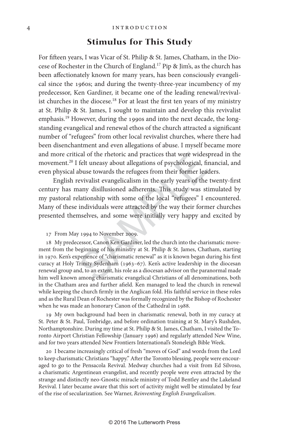## **Stimulus for This Study**

For fifteen years, I was Vicar of St. Philip & St. James, Chatham, in the Diocese of Rochester in the Church of England.17 Pip & Jim's, as the church has been affectionately known for many years, has been consciously evangelical since the 1960s; and during the twenty-three-year incumbency of my predecessor, Ken Gardiner, it became one of the leading renewal/revivalist churches in the diocese.<sup>18</sup> For at least the first ten years of my ministry at St. Philip & St. James, I sought to maintain and develop this revivalist emphasis.<sup>19</sup> However, during the 1990s and into the next decade, the longstanding evangelical and renewal ethos of the church attracted a significant number of "refugees" from other local revivalist churches, where there had been disenchantment and even allegations of abuse. I myself became more and more critical of the rhetoric and practices that were widespread in the movement.20 I felt uneasy about allegations of psychological, financial, and even physical abuse towards the refugees from their former leaders.

English revivalist evangelicalism in the early years of the twenty-first century has many disillusioned adherents. This study was stimulated by my pastoral relationship with some of the local "refugees" I encountered. Many of these individuals were attracted by the way their former churches presented themselves, and some were initially very happy and excited by

17 From May 1994 to November 2009.

cal of the rhetoric and practices that were widespect that were widespect the vertex and bout allegations of psychological, first<br>buse towards the refugees from their former lead<br>evivalist evangelicalism in the early years 18 My predecessor, Canon Ken Gardiner, led the church into the charismatic movement from the beginning of his ministry at St. Philip & St. James, Chatham, starting in 1970. Ken's experience of "charismatic renewal" as it is known began during his first curacy at Holy Trinity Sydenham (1963–67). Ken's active leadership in the diocesan renewal group and, to an extent, his role as a diocesan advisor on the paranormal made him well known among charismatic evangelical Christians of all denominations, both in the Chatham area and further afield. Ken managed to lead the church in renewal while keeping the church firmly in the Anglican fold. His faithful service in these roles and as the Rural Dean of Rochester was formally recognized by the Bishop of Rochester when he was made an honorary Canon of the Cathedral in 1988.

19 My own background had been in charismatic renewal, both in my curacy at St. Peter & St. Paul, Tonbridge, and before ordination training at St. Mary's Rushden, Northamptonshire. During my time at St. Philip & St. James, Chatham, I visited the Toronto Airport Christian Fellowship (January 1996) and regularly attended New Wine, and for two years attended New Frontiers International's Stoneleigh Bible Week.

20 I became increasingly critical of fresh "moves of God" and words from the Lord to keep charismatic Christians "happy." After the Toronto blessing, people were encouraged to go to the Pensacola Revival. Medway churches had a visit from Ed Silvoso, a charismatic Argentinean evangelist, and recently people were even attracted by the strange and distinctly neo-Gnostic miracle ministry of Todd Bentley and the Lakeland Revival. I later became aware that this sort of activity might well be stimulated by fear of the rise of secularization. See Warner, *Reinventing English Evangelicalism* .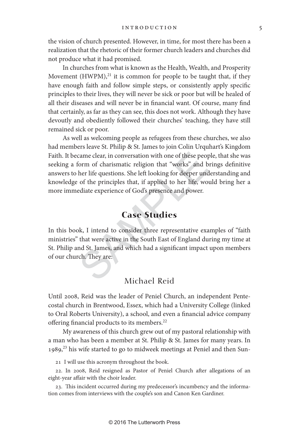the vision of church presented. However, in time, for most there has been a realization that the rhetoric of their former church leaders and churches did not produce what it had promised.

In churches from what is known as the Health, Wealth, and Prosperity Movement  $(HWPM)<sup>21</sup>$  it is common for people to be taught that, if they have enough faith and follow simple steps, or consistently apply specific principles to their lives, they will never be sick or poor but will be healed of all their diseases and will never be in financial want. Of course, many find that certainly, as far as they can see, this does not work. Although they have devoutly and obediently followed their churches' teaching, they have still remained sick or poor.

came clear, in conversation with one of these peoptrom of charismatic religion that "works" and b<br>her life questions. She left looking for deeper und<br>of the principles that, if applied to her life, wordiate experience of G As well as welcoming people as refugees from these churches, we also had members leave St. Philip & St. James to join Colin Urquhart's Kingdom Faith. It became clear, in conversation with one of these people, that she was seeking a form of charismatic religion that "works" and brings definitive answers to her life questions. She left looking for deeper understanding and knowledge of the principles that, if applied to her life, would bring her a more immediate experience of God's presence and power.

## **Case Studies**

In this book, I intend to consider three representative examples of "faith ministries" that were active in the South East of England during my time at St. Philip and St. James, and which had a significant impact upon members of our church. They are:

## Michael Reid

Until 2008, Reid was the leader of Peniel Church, an independent Pentecostal church in Brentwood, Essex, which had a University College (linked to Oral Roberts University), a school, and even a financial advice company offering financial products to its members.<sup>22</sup>

My awareness of this church grew out of my pastoral relationship with a man who has been a member at St. Philip & St. James for many years. In 1989,<sup>23</sup> his wife started to go to midweek meetings at Peniel and then Sun-

21 I will use this acronym throughout the book.

22. In 2008, Reid resigned as Pastor of Peniel Church after allegations of an eight-year affair with the choir leader.

23. This incident occurred during my predecessor's incumbency and the information comes from interviews with the couple's son and Canon Ken Gardiner.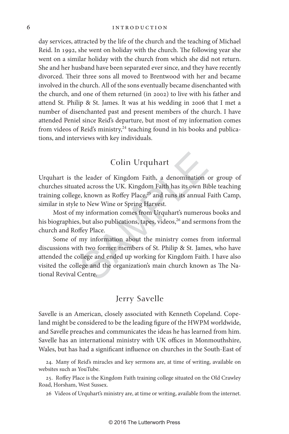day services, attracted by the life of the church and the teaching of Michael Reid. In 1992, she went on holiday with the church. The following year she went on a similar holiday with the church from which she did not return. She and her husband have been separated ever since, and they have recently divorced. Their three sons all moved to Brentwood with her and became involved in the church. All of the sons eventually became disenchanted with the church, and one of them returned (in 2002) to live with his father and attend St. Philip & St. James. It was at his wedding in 2006 that I met a number of disenchanted past and present members of the church. I have attended Peniel since Reid's departure, but most of my information comes from videos of Reid's ministry,<sup>24</sup> teaching found in his books and publications, and interviews with key individuals.

# Colin Urquhart

Urquhart is the leader of Kingdom Faith, a denomination or group of churches situated across the UK. Kingdom Faith has its own Bible teaching training college, known as Roffey Place,<sup>25</sup> and runs its annual Faith Camp, similar in style to New Wine or Spring Harvest.

Most of my information comes from Urquhart's numerous books and his biographies, but also publications, tapes, videos,<sup>26</sup> and sermons from the church and Roffey Place.

Colin Urquhart<br>
ne leader of Kingdom Faith, a denomination of<br>
red across the UK. Kingdom Faith has its own Bile,<br>
e, known as Roffey Place,<sup>25</sup> and runs its annual I<br>
to New Wine or Spring Harvest.<br>
my information comes Some of my information about the ministry comes from informal discussions with two former members of St. Philip & St. James, who have attended the college and ended up working for Kingdom Faith. I have also visited the college and the organization's main church known as The National Revival Centre.

## Jerry Savelle

Savelle is an American, closely associated with Kenneth Copeland. Copeland might be considered to be the leading figure of the HWPM worldwide, and Savelle preaches and communicates the ideas he has learned from him. Savelle has an international ministry with UK offices in Monmouthshire, Wales, but has had a significant influence on churches in the South-East of

24. Many of Reid's miracles and key sermons are, at time of writing, available on websites such as YouTube.

25. Roffey Place is the Kingdom Faith training college situated on the Old Crawley Road, Horsham, West Sussex.

26 Videos of Urquhart's ministry are, at time or writing, available from the internet.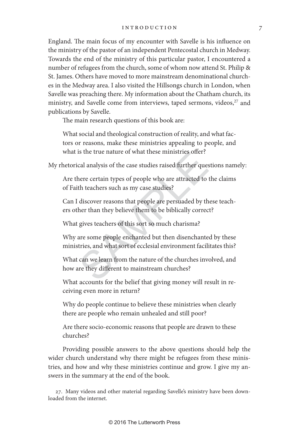England. The main focus of my encounter with Savelle is his influence on the ministry of the pastor of an independent Pentecostal church in Medway. Towards the end of the ministry of this particular pastor, I encountered a number of refugees from the church, some of whom now attend St. Philip & St. James. Others have moved to more mainstream denominational churches in the Medway area. I also visited the Hillsongs church in London, when Savelle was preaching there. My information about the Chatham church, its ministry, and Savelle come from interviews, taped sermons, videos,<sup>27</sup> and publications by Savelle.

The main research questions of this book are:

What social and theological construction of reality, and what factors or reasons, make these ministries appealing to people, and what is the true nature of what these ministries offer?

My rhetorical analysis of the case studies raised further questions namely:

Are there certain types of people who are attracted to the claims of Faith teachers such as my case studies?

Can I discover reasons that people are persuaded by these teachers other than they believe them to be biblically correct?

What gives teachers of this sort so much charisma?

Why are some people enchanted but then disenchanted by these ministries, and what sort of ecclesial environment facilitates this?

In the true nature of what these ministries offer:<br>cal analysis of the case studies raised further ques<br>nere certain types of people who are attracted to th<br>the teachers such as my case studies?<br>discover reasons that peopl What can we learn from the nature of the churches involved, and how are they different to mainstream churches?

What accounts for the belief that giving money will result in receiving even more in return?

Why do people continue to believe these ministries when clearly there are people who remain unhealed and still poor?

Are there socio-economic reasons that people are drawn to these churches?

Providing possible answers to the above questions should help the wider church understand why there might be refugees from these ministries, and how and why these ministries continue and grow. I give my answers in the summary at the end of the book.

27. Many videos and other material regarding Savelle's ministry have been downloaded from the internet.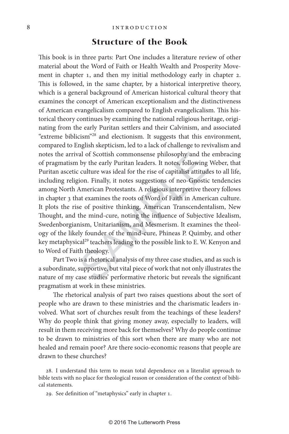## **Structure of the Book**

al of Scottish commonsense philosophy and the<br>by the early Puritan leaders. It notes, following<br>culture was ideal for the rise of capitalist attitud<br>ion. Finally, it notes suggestions of neo-Gnostic<br>American Protestants. A This book is in three parts: Part One includes a literature review of other material about the Word of Faith or Health Wealth and Prosperity Movement in chapter 1, and then my initial methodology early in chapter 2. This is followed, in the same chapter, by a historical interpretive theory, which is a general background of American historical cultural theory that examines the concept of American exceptionalism and the distinctiveness of American evangelicalism compared to English evangelicalism. This historical theory continues by examining the national religious heritage, originating from the early Puritan settlers and their Calvinism, and associated "extreme biblicism"28 and electionism. It suggests that this environment, compared to English skepticism, led to a lack of challenge to revivalism and notes the arrival of Scottish commonsense philosophy and the embracing of pragmatism by the early Puritan leaders. It notes, following Weber, that Puritan ascetic culture was ideal for the rise of capitalist attitudes to all life, including religion. Finally, it notes suggestions of neo-Gnostic tendencies among North American Protestants. A religious interpretive theory follows in chapter 3 that examines the roots of Word of Faith in American culture. It plots the rise of positive thinking, American Transcendentalism, New Thought, and the mind-cure, noting the influence of Subjective Idealism, Swedenborgianism, Unitarianism, and Mesmerism. It examines the theology of the likely founder of the mind-cure, Phineas P. Quimby, and other key metaphysical<sup>29</sup> teachers leading to the possible link to E. W. Kenyon and to Word of Faith theology.

Part Two is a rhetorical analysis of my three case studies, and as such is a subordinate, supportive, but vital piece of work that not only illustrates the nature of my case studies' performative rhetoric but reveals the significant pragmatism at work in these ministries.

The rhetorical analysis of part two raises questions about the sort of people who are drawn to these ministries and the charismatic leaders involved. What sort of churches result from the teachings of these leaders? Why do people think that giving money away, especially to leaders, will result in them receiving more back for themselves? Why do people continue to be drawn to ministries of this sort when there are many who are not healed and remain poor? Are there socio-economic reasons that people are drawn to these churches?

28. I understand this term to mean total dependence on a literalist approach to bible texts with no place for theological reason or consideration of the context of biblical statements.

29. See definition of "metaphysics" early in chapter 1.